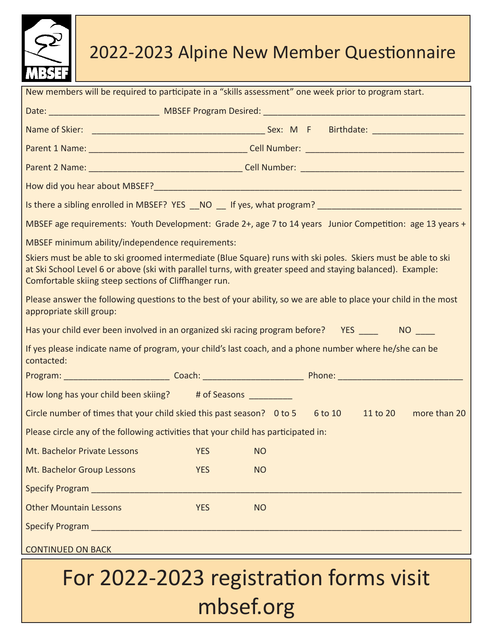

## 2022-2023 Alpine New Member Questionnaire

| New members will be required to participate in a "skills assessment" one week prior to program start.                                                                                                                                                                                 |            |           |  |  |  |  |  |  |
|---------------------------------------------------------------------------------------------------------------------------------------------------------------------------------------------------------------------------------------------------------------------------------------|------------|-----------|--|--|--|--|--|--|
|                                                                                                                                                                                                                                                                                       |            |           |  |  |  |  |  |  |
|                                                                                                                                                                                                                                                                                       |            |           |  |  |  |  |  |  |
|                                                                                                                                                                                                                                                                                       |            |           |  |  |  |  |  |  |
|                                                                                                                                                                                                                                                                                       |            |           |  |  |  |  |  |  |
|                                                                                                                                                                                                                                                                                       |            |           |  |  |  |  |  |  |
| Is there a sibling enrolled in MBSEF? YES __NO __ If yes, what program? __________________________________                                                                                                                                                                            |            |           |  |  |  |  |  |  |
| MBSEF age requirements: Youth Development: Grade 2+, age 7 to 14 years Junior Competition: age 13 years +                                                                                                                                                                             |            |           |  |  |  |  |  |  |
| MBSEF minimum ability/independence requirements:                                                                                                                                                                                                                                      |            |           |  |  |  |  |  |  |
| Skiers must be able to ski groomed intermediate (Blue Square) runs with ski poles. Skiers must be able to ski<br>at Ski School Level 6 or above (ski with parallel turns, with greater speed and staying balanced). Example:<br>Comfortable skiing steep sections of Cliffhanger run. |            |           |  |  |  |  |  |  |
| Please answer the following questions to the best of your ability, so we are able to place your child in the most<br>appropriate skill group:                                                                                                                                         |            |           |  |  |  |  |  |  |
| Has your child ever been involved in an organized ski racing program before? YES ____ NO ___                                                                                                                                                                                          |            |           |  |  |  |  |  |  |
| If yes please indicate name of program, your child's last coach, and a phone number where he/she can be<br>contacted:                                                                                                                                                                 |            |           |  |  |  |  |  |  |
|                                                                                                                                                                                                                                                                                       |            |           |  |  |  |  |  |  |
| How long has your child been skiing? # of Seasons _________                                                                                                                                                                                                                           |            |           |  |  |  |  |  |  |
| Circle number of times that your child skied this past season? 0 to 5 6 to 10 11 to 20 more than 20                                                                                                                                                                                   |            |           |  |  |  |  |  |  |
| Please circle any of the following activities that your child has participated in:                                                                                                                                                                                                    |            |           |  |  |  |  |  |  |
| Mt. Bachelor Private Lessons                                                                                                                                                                                                                                                          | <b>YES</b> | <b>NO</b> |  |  |  |  |  |  |
| Mt. Bachelor Group Lessons                                                                                                                                                                                                                                                            | <b>YES</b> | <b>NO</b> |  |  |  |  |  |  |
|                                                                                                                                                                                                                                                                                       |            |           |  |  |  |  |  |  |
| <b>Other Mountain Lessons</b>                                                                                                                                                                                                                                                         | <b>YES</b> | <b>NO</b> |  |  |  |  |  |  |
|                                                                                                                                                                                                                                                                                       |            |           |  |  |  |  |  |  |
| <b>CONTINUED ON BACK CONTINUED ON BACK</b>                                                                                                                                                                                                                                            |            |           |  |  |  |  |  |  |

## For 2022-2023 registration forms visit mbsef.org